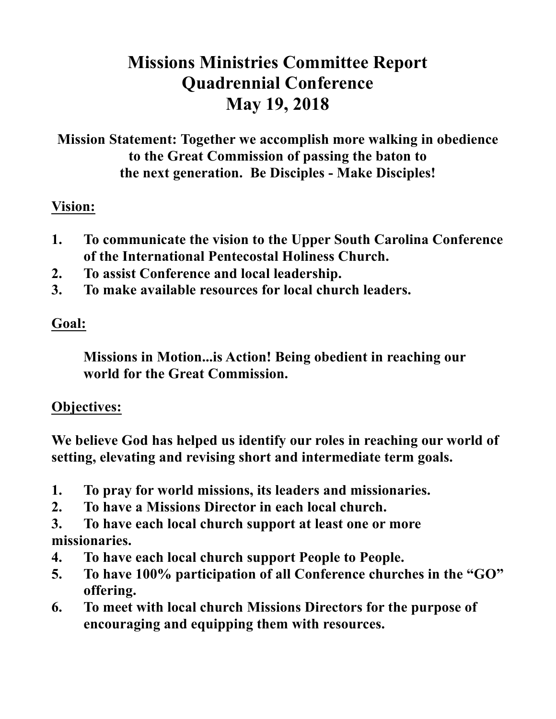# **Missions Ministries Committee Report Quadrennial Conference May 19, 2018**

**Mission Statement: Together we accomplish more walking in obedience to the Great Commission of passing the baton to the next generation. Be Disciples - Make Disciples!**

## **Vision:**

- **1. To communicate the vision to the Upper South Carolina Conference of the International Pentecostal Holiness Church.**
- **2. To assist Conference and local leadership.**
- **3. To make available resources for local church leaders.**

# **Goal:**

**Missions in Motion...is Action! Being obedient in reaching our world for the Great Commission.**

#### **Objectives:**

**We believe God has helped us identify our roles in reaching our world of setting, elevating and revising short and intermediate term goals.**

- **1. To pray for world missions, its leaders and missionaries.**
- **2. To have a Missions Director in each local church.**
- **3. To have each local church support at least one or more missionaries.**
- **4. To have each local church support People to People.**
- **5. To have 100% participation of all Conference churches in the "GO" offering.**
- **6. To meet with local church Missions Directors for the purpose of encouraging and equipping them with resources.**